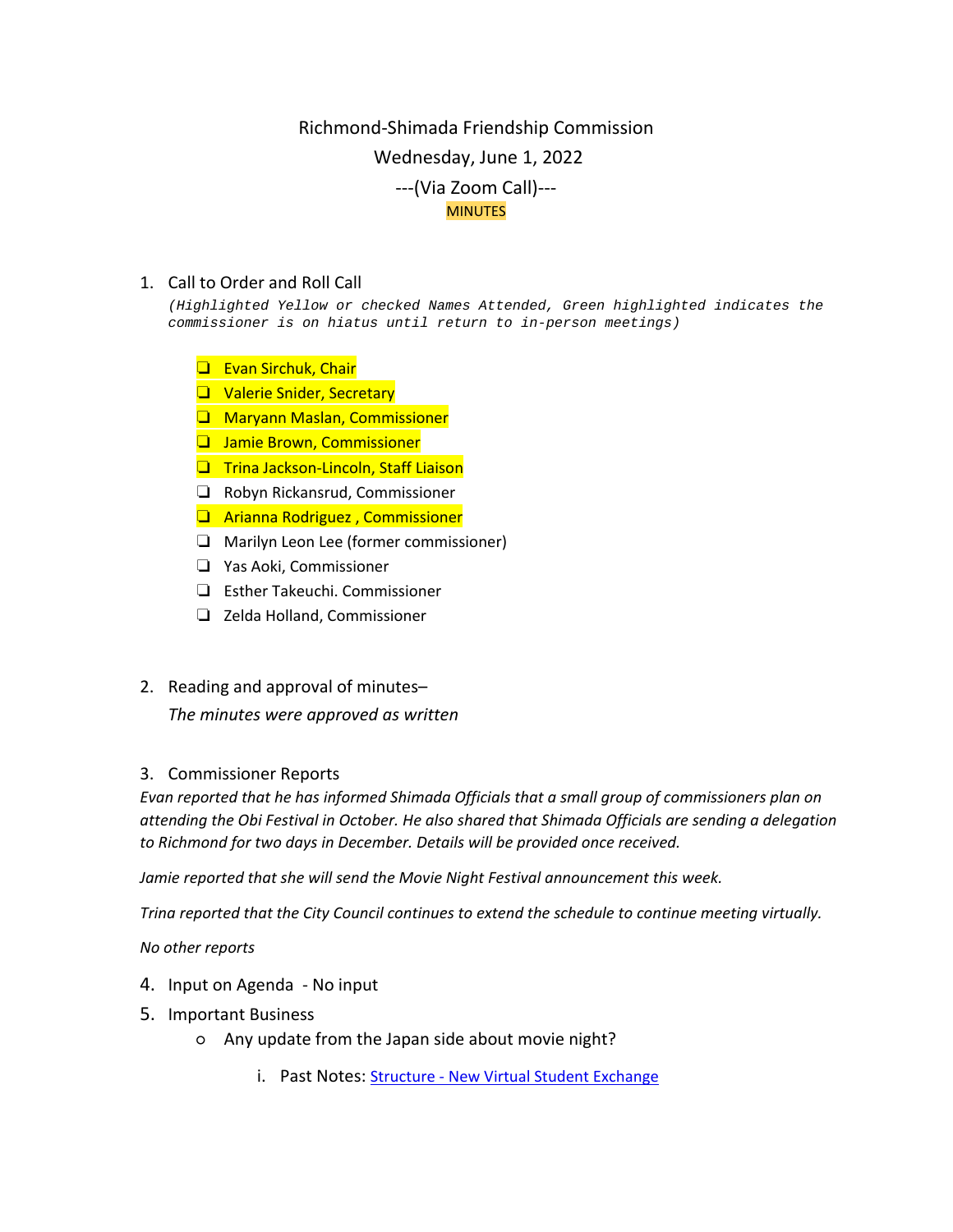## Richmond-Shimada Friendship Commission Wednesday, June 1, 2022 ---(Via Zoom Call)--- MINUTES

## 1. Call to Order and Roll Call

*(Highlighted Yellow or checked Names Attended, Green highlighted indicates the commissioner is on hiatus until return to in-person meetings)*

- ❏ Evan Sirchuk, Chair
- ❏ Valerie Snider, Secretary
- ❏ Maryann Maslan, Commissioner
- ❏ Jamie Brown, Commissioner
- ❏ Trina Jackson-Lincoln, Staff Liaison
- ❏ Robyn Rickansrud, Commissioner
- ❏ Arianna Rodriguez , Commissioner
- ❏ Marilyn Leon Lee (former commissioner)
- ❏ Yas Aoki, Commissioner
- ❏ Esther Takeuchi. Commissioner
- ❏ Zelda Holland, Commissioner
- 2. Reading and approval of minutes–

*The minutes were approved as written*

## 3. Commissioner Reports

*Evan reported that he has informed Shimada Officials that a small group of commissioners plan on attending the Obi Festival in October. He also shared that Shimada Officials are sending a delegation to Richmond for two days in December. Details will be provided once received.*

*Jamie reported that she will send the Movie Night Festival announcement this week.* 

*Trina reported that the City Council continues to extend the schedule to continue meeting virtually.*

*No other reports*

- 4. Input on Agenda No input
- 5. Important Business
	- Any update from the Japan side about movie night?
		- i. Past Notes: Structure [New Virtual Student Exchange](https://docs.google.com/document/d/1nDzrNr4YZbyUFXI3_hXevNKqB4FZ1AQnxotmylqu5wc/edit)